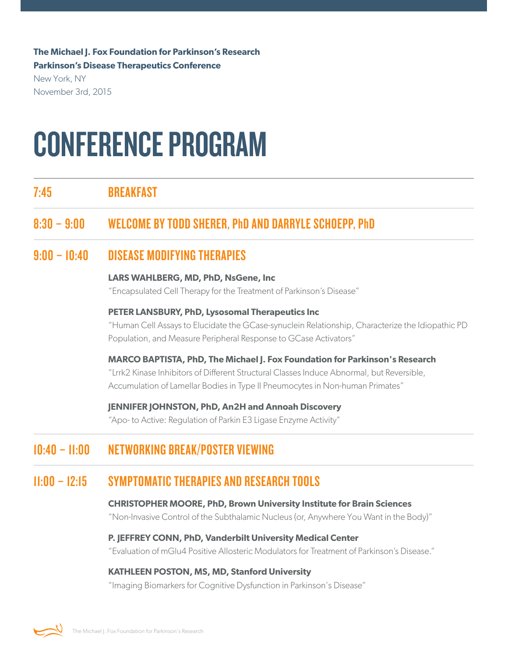**The Michael J. Fox Foundation for Parkinson's Research Parkinson's Disease Therapeutics Conference**

New York, NY November 3rd, 2015

# CONFERENCE PROGRAM

7:45 BREAKFAST

# 8:30 – 9:00 WELCOMEBY TODDSHERER, PhDANDDARRYLE SCHOEPP, PhD

# 9:00 – 10:40 DISEASE MODIFYINGTHERAPIES

#### **LARS WAHLBERG, MD, PhD, NsGene, Inc**

"Encapsulated Cell Therapy for the Treatment of Parkinson's Disease"

#### **PETER LANSBURY, PhD, Lysosomal Therapeutics Inc**

"Human Cell Assays to Elucidate the GCase-synuclein Relationship, Characterize the Idiopathic PD Population, and Measure Peripheral Response to GCase Activators"

**MARCO BAPTISTA, PhD, The Michael J. Fox Foundation for Parkinson's Research** "Lrrk2 Kinase Inhibitors of Different Structural Classes Induce Abnormal, but Reversible, Accumulation of Lamellar Bodies in Type II Pneumocytes in Non-human Primates"

**JENNIFER JOHNSTON, PhD, An2H and Annoah Discovery**

"Apo- to Active: Regulation of Parkin E3 Ligase Enzyme Activity"

# 10:40 - 11:00 NETWORKING BREAK/POSTER VIEWING

## 11:00 – 12:15 SYMPTOMATICTHERAPIES ANDRESEARCHTOOLS

#### **CHRISTOPHER MOORE, PhD, Brown University Institute for Brain Sciences**

"Non-Invasive Control of the Subthalamic Nucleus (or, Anywhere You Want in the Body)"

#### **P. JEFFREY CONN, PhD, Vanderbilt University Medical Center**

"Evaluation of mGlu4 Positive Allosteric Modulators for Treatment of Parkinson's Disease."

#### **KATHLEEN POSTON, MS, MD, Stanford University**

"Imaging Biomarkers for Cognitive Dysfunction in Parkinson's Disease"